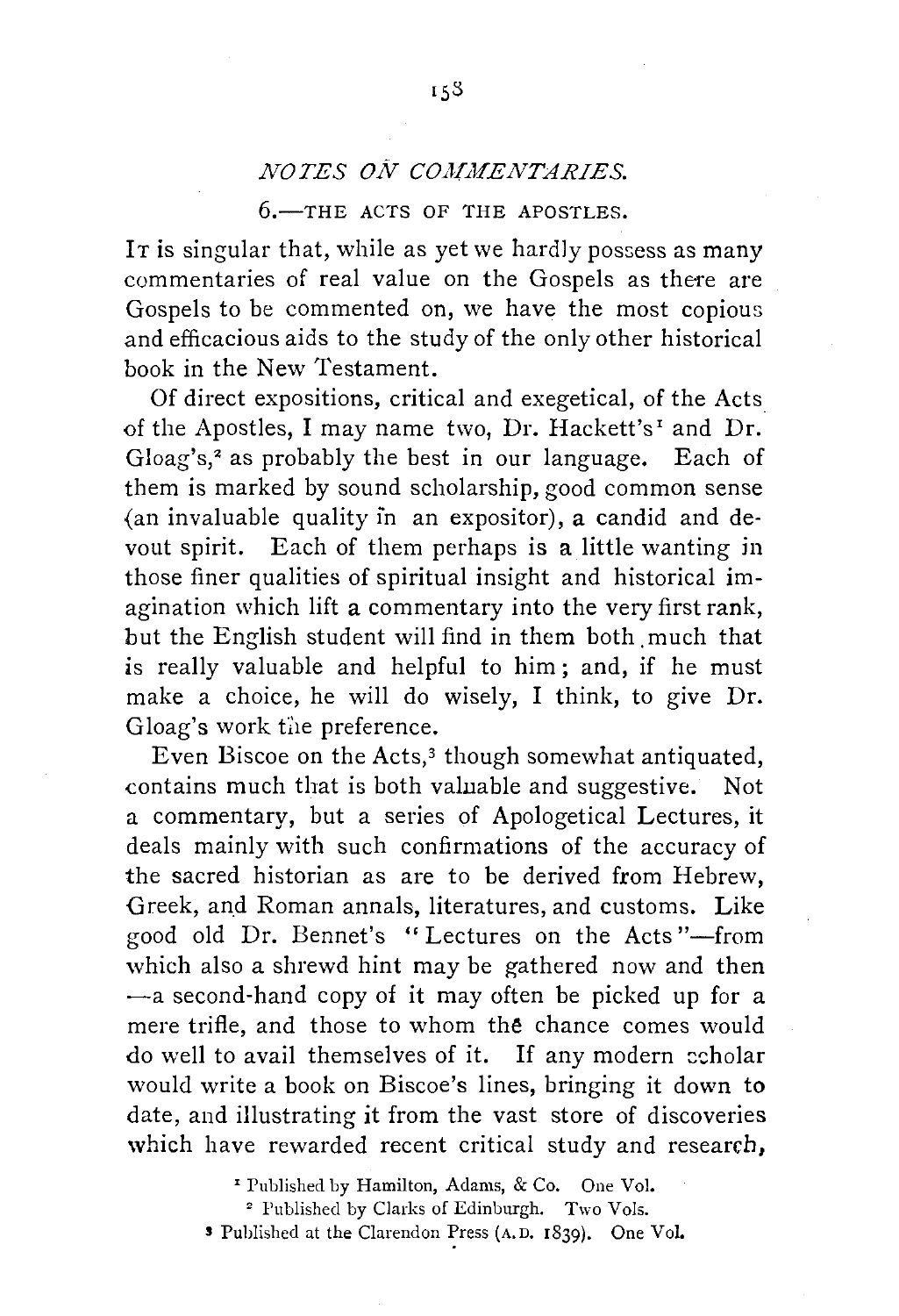## *NOTES ON COMMENTARIES.*

## $6$ -THE ACTS OF THE APOSTLES.

It is singular that, while as yet we hardly possess as many commentaries of real value on the Gospels as there are Gospels to be commented on, we have the most copious and efficacious aids to the study of the only other historical book in the New Testament.

Of direct expositions, critical and exegetical, of the Acts of the Apostles, I may name two, Dr. Hackett's' and Dr. Gloag's,<sup>2</sup> as probably the best in our language. Each of them is marked by sound scholarship, good common sense {an invaluable quality in an expositor), a candid and de· vout spirit. Each of them perhaps is a little wanting in those finer qualities of spiritual insight and historical imagination which lift a commentary into the very first rank, but the English student will find in them both much that is really valuable and helpful to him; and, if he must make a choice, he will do wisely, I think, to give Dr. Gloag's work the preference.

Even Biscoe on the Acts,<sup>3</sup> though somewhat antiquated, contains much that is both valuable and suggestive. Not a commentary, but a series of Apologetical Lectures, it deals mainly with such confirmations of the accuracy of the sacred historian as are to be derived from Hebrew, Greek, and Roman annals, literatures, and customs. Like good old Dr. Bennet's "Lectures on the Acts"-from which also a shrewd hint may be gathered now and then  $-a$  second-hand copy of it may often be picked up for a mere trifle, and those to whom the chance comes would do well to avail themselves of it. If any modern echolar would write a book on Biscoe's lines, bringing it down to date, and illustrating it from the vast store of discoveries which have rewarded recent critical study and research,

'Published by Hamilton, Adams, & Co. One Vol.

<sup>2</sup> Published by Clarks of Edinburgh. Two Vols.

s Published at the Clarendon ~ress (A. D. 1839). One Vol.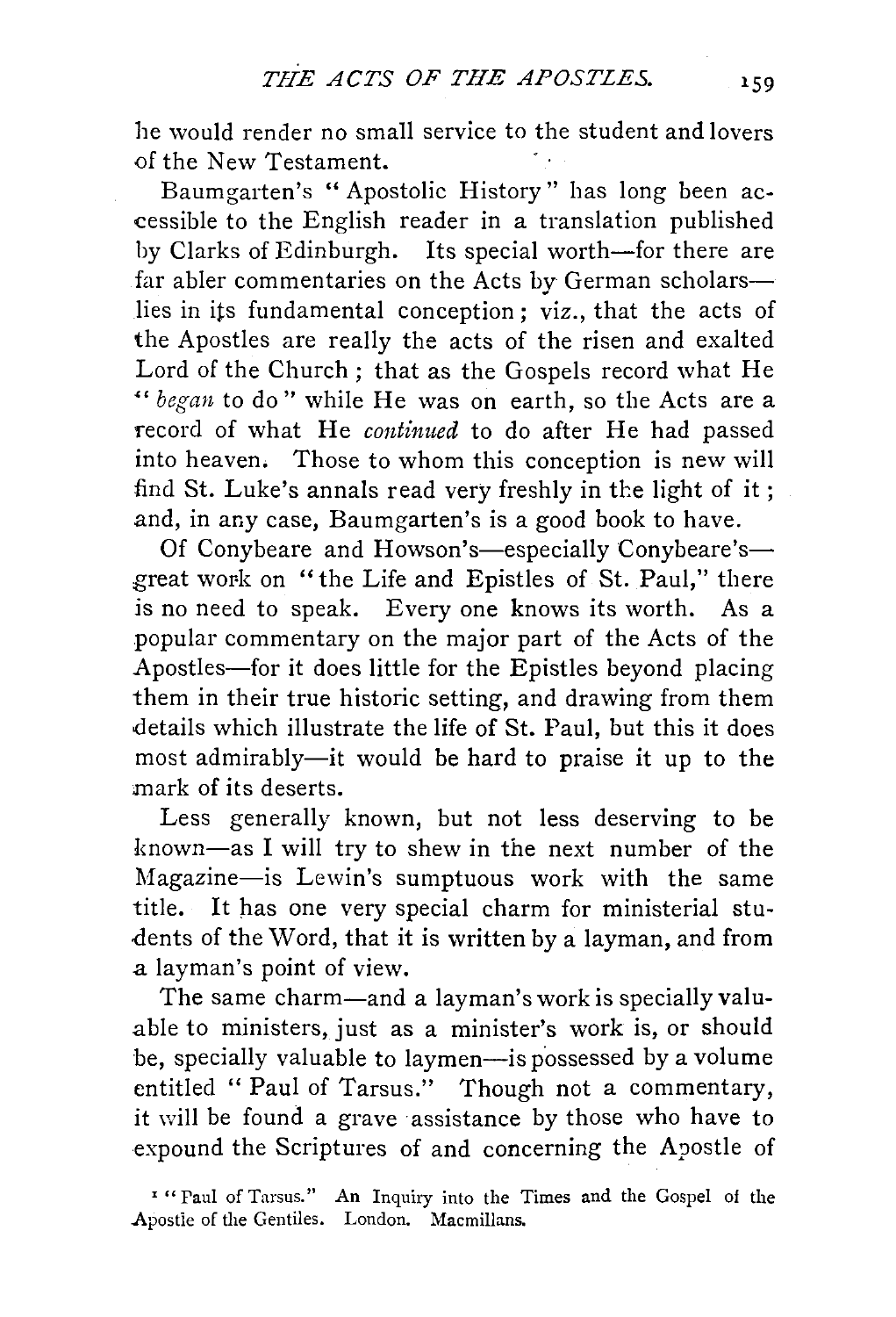he would render no small service to the student and lovers of the New Testament.

Baumgarten's " Apostolic History" has long been accessible to the English reader in a translation published by Clarks of Edinburgh. Its special worth-for there are far abler commentaries on the Acts by German scholarslies in its fundamental conception; viz., that the acts of the Apostles are really the acts of the risen and exalted Lord of the Church; that as the Gospels record what He " *began* to do" while He was on earth, so the Acts are a record of what He *continued* to do after He had passed into heaven. Those *to* whom this conception is new will find St. Luke's annals read very freshly in the light of it; and, in any case, Baumgarten's is a good book to have.

Of Conybeare and Howson's-especially Conybeare'sgreat work on "the Life and Epistles of St. Paul," there is no need to speak. Every one knows its worth. As a popular commentary on the major part of the Acts of the Apostles-for it does little for the Epistles beyond placing them in their true historic setting, and drawing from them details which illustrate the life of St. Paul, but this it does most admirably-it would be hard to praise it up to the mark of its deserts.

Less generally known, but not less deserving to be known-as I will try to shew in the next number of the Magazine-is Lewin's sumptuous work with the same title. It has one very special charm for ministerial students of the Word, that it is written by a layman, and from a layman's point of view.

The same charm-and a layman's work is specially valuable to ministers, just as a minister's work is, or should be, specially valuable to laymen-is possessed by a volume entitled " Paul of Tarsus." Though not a commentary, it will be found a grave assistance by those who have to expound the Scriptures of and concerning the Apostle of

' " Paul of Tarsus." An Inquiry into the Times and the Gospel of the Apostie of the Gentiles. London. Macmillans.